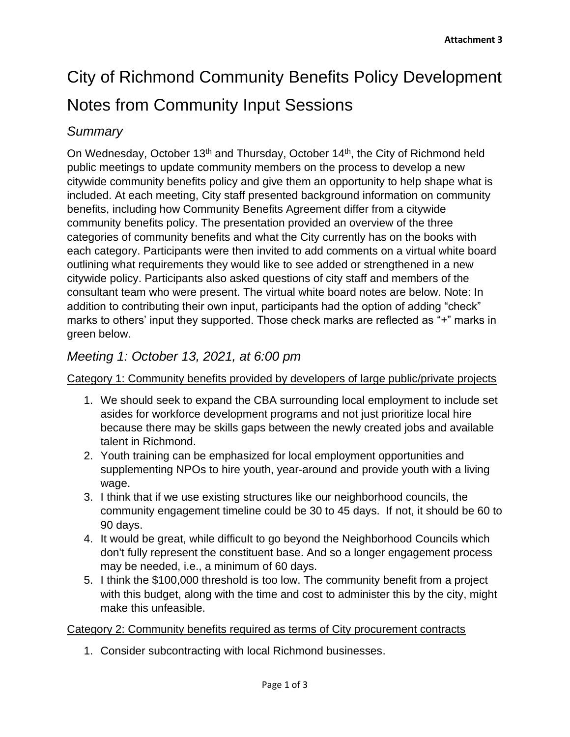# City of Richmond Community Benefits Policy Development Notes from Community Input Sessions

## *Summary*

On Wednesday, October 13<sup>th</sup> and Thursday, October 14<sup>th</sup>, the City of Richmond held public meetings to update community members on the process to develop a new citywide community benefits policy and give them an opportunity to help shape what is included. At each meeting, City staff presented background information on community benefits, including how Community Benefits Agreement differ from a citywide community benefits policy. The presentation provided an overview of the three categories of community benefits and what the City currently has on the books with each category. Participants were then invited to add comments on a virtual white board outlining what requirements they would like to see added or strengthened in a new citywide policy. Participants also asked questions of city staff and members of the consultant team who were present. The virtual white board notes are below. Note: In addition to contributing their own input, participants had the option of adding "check" marks to others' input they supported. Those check marks are reflected as "+" marks in green below.

# *Meeting 1: October 13, 2021, at 6:00 pm*

### Category 1: Community benefits provided by developers of large public/private projects

- 1. We should seek to expand the CBA surrounding local employment to include set asides for workforce development programs and not just prioritize local hire because there may be skills gaps between the newly created jobs and available talent in Richmond.
- 2. Youth training can be emphasized for local employment opportunities and supplementing NPOs to hire youth, year-around and provide youth with a living wage.
- 3. I think that if we use existing structures like our neighborhood councils, the community engagement timeline could be 30 to 45 days. If not, it should be 60 to 90 days.
- 4. It would be great, while difficult to go beyond the Neighborhood Councils which don't fully represent the constituent base. And so a longer engagement process may be needed, i.e., a minimum of 60 days.
- 5. I think the \$100,000 threshold is too low. The community benefit from a project with this budget, along with the time and cost to administer this by the city, might make this unfeasible.

#### Category 2: Community benefits required as terms of City procurement contracts

1. Consider subcontracting with local Richmond businesses.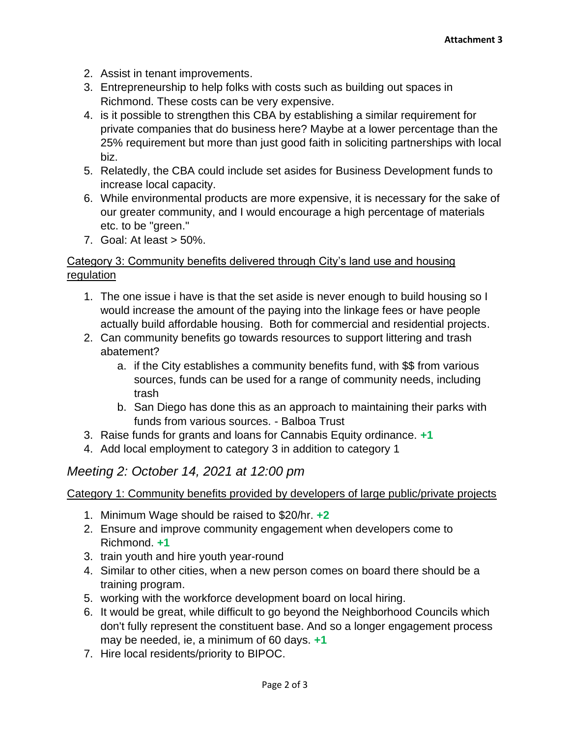- 2. Assist in tenant improvements.
- 3. Entrepreneurship to help folks with costs such as building out spaces in Richmond. These costs can be very expensive.
- 4. is it possible to strengthen this CBA by establishing a similar requirement for private companies that do business here? Maybe at a lower percentage than the 25% requirement but more than just good faith in soliciting partnerships with local biz.
- 5. Relatedly, the CBA could include set asides for Business Development funds to increase local capacity.
- 6. While environmental products are more expensive, it is necessary for the sake of our greater community, and I would encourage a high percentage of materials etc. to be "green."
- 7. Goal: At least > 50%.

### Category 3: Community benefits delivered through City's land use and housing regulation

- 1. The one issue i have is that the set aside is never enough to build housing so I would increase the amount of the paying into the linkage fees or have people actually build affordable housing. Both for commercial and residential projects.
- 2. Can community benefits go towards resources to support littering and trash abatement?
	- a. if the City establishes a community benefits fund, with \$\$ from various sources, funds can be used for a range of community needs, including trash
	- b. San Diego has done this as an approach to maintaining their parks with funds from various sources. - Balboa Trust
- 3. Raise funds for grants and loans for Cannabis Equity ordinance. **+1**
- 4. Add local employment to category 3 in addition to category 1

## *Meeting 2: October 14, 2021 at 12:00 pm*

#### Category 1: Community benefits provided by developers of large public/private projects

- 1. Minimum Wage should be raised to \$20/hr. **+2**
- 2. Ensure and improve community engagement when developers come to Richmond. **+1**
- 3. train youth and hire youth year-round
- 4. Similar to other cities, when a new person comes on board there should be a training program.
- 5. working with the workforce development board on local hiring.
- 6. It would be great, while difficult to go beyond the Neighborhood Councils which don't fully represent the constituent base. And so a longer engagement process may be needed, ie, a minimum of 60 days. **+1**
- 7. Hire local residents/priority to BIPOC.